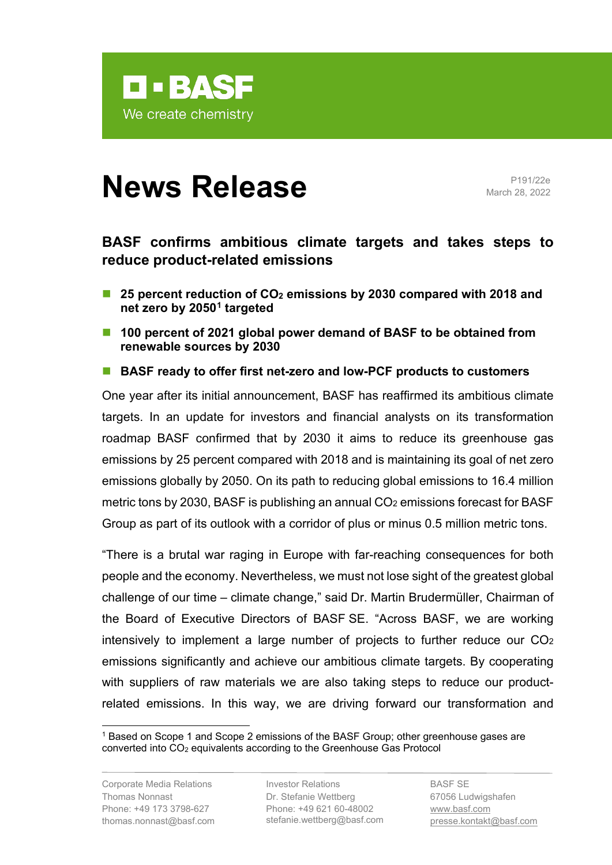

# **News Release** Pressure

March 28, 2022

## **BASF confirms ambitious climate targets and takes steps to reduce product-related emissions**

- 25 percent reduction of CO<sub>2</sub> emissions by 2030 compared with 2018 and **net zero by 2050[1](#page-0-0) targeted**
- **100 percent of 2021 global power demand of BASF to be obtained from renewable sources by 2030**
- BASF ready to offer first net-zero and low-PCF products to customers

One year after its initial announcement, BASF has reaffirmed its ambitious climate targets. In an update for investors and financial analysts on its transformation roadmap BASF confirmed that by 2030 it aims to reduce its greenhouse gas emissions by 25 percent compared with 2018 and is maintaining its goal of net zero emissions globally by 2050. On its path to reducing global emissions to 16.4 million metric tons by 2030, BASF is publishing an annual CO<sub>2</sub> emissions forecast for BASF Group as part of its outlook with a corridor of plus or minus 0.5 million metric tons.

"There is a brutal war raging in Europe with far-reaching consequences for both people and the economy. Nevertheless, we must not lose sight of the greatest global challenge of our time – climate change," said Dr. Martin Brudermüller, Chairman of the Board of Executive Directors of BASF SE. "Across BASF, we are working intensively to implement a large number of projects to further reduce our CO2 emissions significantly and achieve our ambitious climate targets. By cooperating with suppliers of raw materials we are also taking steps to reduce our productrelated emissions. In this way, we are driving forward our transformation and

Corporate Media Relations Investor Relations Thomas Nonnast Phone: +49 173 3798-627 thomas.nonnast@basf.com

Dr. Stefanie Wettberg Phone: +49 621 60-48002 stefanie.wettberg@basf.com

BASF SE 67056 Ludwigshafen [www.basf.com](http://www.basf.com/) presse.kontakt@basf.com

<span id="page-0-0"></span><sup>1</sup> Based on Scope 1 and Scope 2 emissions of the BASF Group; other greenhouse gases are converted into CO2 equivalents according to the Greenhouse Gas Protocol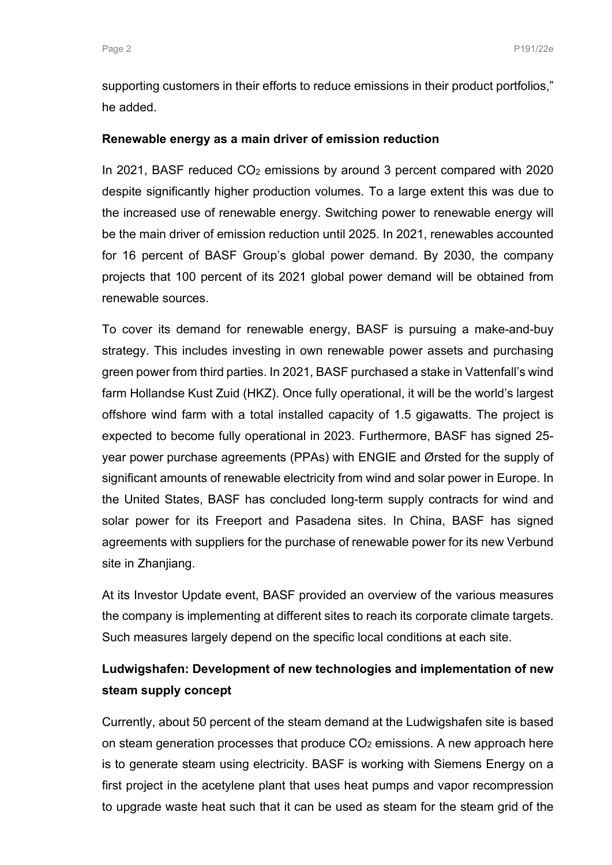supporting customers in their efforts to reduce emissions in their product portfolios," he added.

#### **Renewable energy as a main driver of emission reduction**

In 2021, BASF reduced CO<sub>2</sub> emissions by around 3 percent compared with 2020 despite significantly higher production volumes. To a large extent this was due to the increased use of renewable energy. Switching power to renewable energy will be the main driver of emission reduction until 2025. In 2021, renewables accounted for 16 percent of BASF Group's global power demand. By 2030, the company projects that 100 percent of its 2021 global power demand will be obtained from renewable sources.

To cover its demand for renewable energy, BASF is pursuing a make-and-buy strategy. This includes investing in own renewable power assets and purchasing green power from third parties. In 2021, BASF purchased a stake in Vattenfall's wind farm Hollandse Kust Zuid (HKZ). Once fully operational, it will be the world's largest offshore wind farm with a total installed capacity of 1.5 gigawatts. The project is expected to become fully operational in 2023. Furthermore, BASF has signed 25 year power purchase agreements (PPAs) with ENGIE and Ørsted for the supply of significant amounts of renewable electricity from wind and solar power in Europe. In the United States, BASF has concluded long-term supply contracts for wind and solar power for its Freeport and Pasadena sites. In China, BASF has signed agreements with suppliers for the purchase of renewable power for its new Verbund site in Zhanjiang.

At its Investor Update event, BASF provided an overview of the various measures the company is implementing at different sites to reach its corporate climate targets. Such measures largely depend on the specific local conditions at each site.

## **Ludwigshafen: Development of new technologies and implementation of new steam supply concept**

Currently, about 50 percent of the steam demand at the Ludwigshafen site is based on steam generation processes that produce  $CO<sub>2</sub>$  emissions. A new approach here is to generate steam using electricity. BASF is working with Siemens Energy on a first project in the acetylene plant that uses heat pumps and vapor recompression to upgrade waste heat such that it can be used as steam for the steam grid of the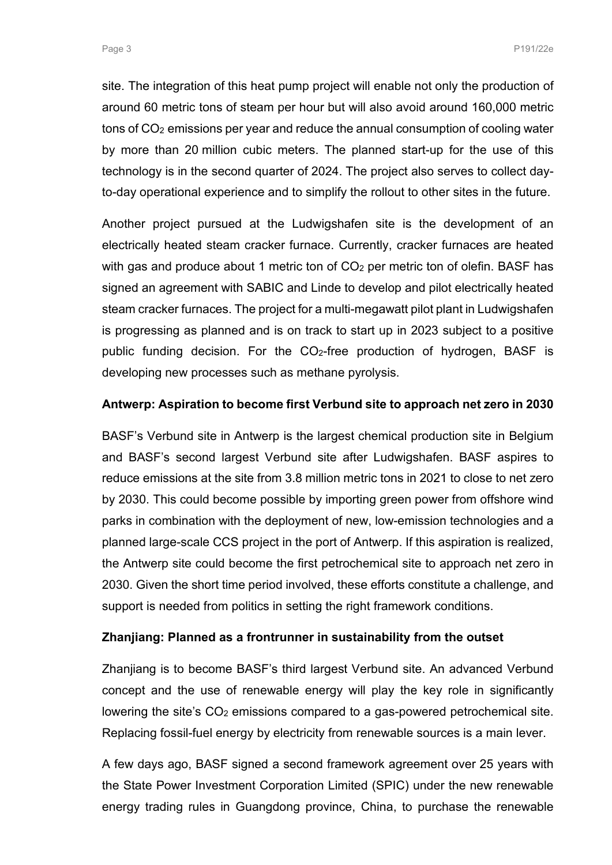site. The integration of this heat pump project will enable not only the production of around 60 metric tons of steam per hour but will also avoid around 160,000 metric tons of CO2 emissions per year and reduce the annual consumption of cooling water by more than 20 million cubic meters. The planned start-up for the use of this technology is in the second quarter of 2024. The project also serves to collect dayto-day operational experience and to simplify the rollout to other sites in the future.

Another project pursued at the Ludwigshafen site is the development of an electrically heated steam cracker furnace. Currently, cracker furnaces are heated with gas and produce about 1 metric ton of  $CO<sub>2</sub>$  per metric ton of olefin. BASF has signed an agreement with SABIC and Linde to develop and pilot electrically heated steam cracker furnaces. The project for a multi-megawatt pilot plant in Ludwigshafen is progressing as planned and is on track to start up in 2023 subject to a positive public funding decision. For the CO2-free production of hydrogen, BASF is developing new processes such as methane pyrolysis.

### **Antwerp: Aspiration to become first Verbund site to approach net zero in 2030**

BASF's Verbund site in Antwerp is the largest chemical production site in Belgium and BASF's second largest Verbund site after Ludwigshafen. BASF aspires to reduce emissions at the site from 3.8 million metric tons in 2021 to close to net zero by 2030. This could become possible by importing green power from offshore wind parks in combination with the deployment of new, low-emission technologies and a planned large-scale CCS project in the port of Antwerp. If this aspiration is realized, the Antwerp site could become the first petrochemical site to approach net zero in 2030. Given the short time period involved, these efforts constitute a challenge, and support is needed from politics in setting the right framework conditions.

#### **Zhanjiang: Planned as a frontrunner in sustainability from the outset**

Zhanjiang is to become BASF's third largest Verbund site. An advanced Verbund concept and the use of renewable energy will play the key role in significantly lowering the site's CO<sub>2</sub> emissions compared to a gas-powered petrochemical site. Replacing fossil-fuel energy by electricity from renewable sources is a main lever.

A few days ago, BASF signed a second framework agreement over 25 years with the State Power Investment Corporation Limited (SPIC) under the new renewable energy trading rules in Guangdong province, China, to purchase the renewable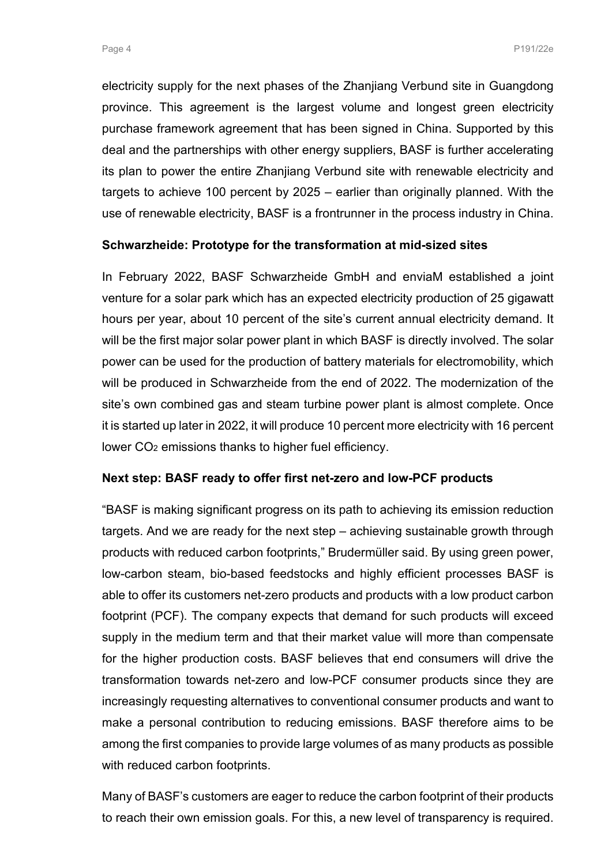electricity supply for the next phases of the Zhanjiang Verbund site in Guangdong province. This agreement is the largest volume and longest green electricity purchase framework agreement that has been signed in China. Supported by this deal and the partnerships with other energy suppliers, BASF is further accelerating its plan to power the entire Zhanjiang Verbund site with renewable electricity and targets to achieve 100 percent by 2025 – earlier than originally planned. With the use of renewable electricity, BASF is a frontrunner in the process industry in China.

### **Schwarzheide: Prototype for the transformation at mid-sized sites**

In February 2022, BASF Schwarzheide GmbH and enviaM established a joint venture for a solar park which has an expected electricity production of 25 gigawatt hours per year, about 10 percent of the site's current annual electricity demand. It will be the first major solar power plant in which BASF is directly involved. The solar power can be used for the production of battery materials for electromobility, which will be produced in Schwarzheide from the end of 2022. The modernization of the site's own combined gas and steam turbine power plant is almost complete. Once it is started up later in 2022, it will produce 10 percent more electricity with 16 percent lower CO2 emissions thanks to higher fuel efficiency.

#### **Next step: BASF ready to offer first net-zero and low-PCF products**

"BASF is making significant progress on its path to achieving its emission reduction targets. And we are ready for the next step – achieving sustainable growth through products with reduced carbon footprints," Brudermüller said. By using green power, low-carbon steam, bio-based feedstocks and highly efficient processes BASF is able to offer its customers net-zero products and products with a low product carbon footprint (PCF). The company expects that demand for such products will exceed supply in the medium term and that their market value will more than compensate for the higher production costs. BASF believes that end consumers will drive the transformation towards net-zero and low-PCF consumer products since they are increasingly requesting alternatives to conventional consumer products and want to make a personal contribution to reducing emissions. BASF therefore aims to be among the first companies to provide large volumes of as many products as possible with reduced carbon footprints.

Many of BASF's customers are eager to reduce the carbon footprint of their products to reach their own emission goals. For this, a new level of transparency is required.